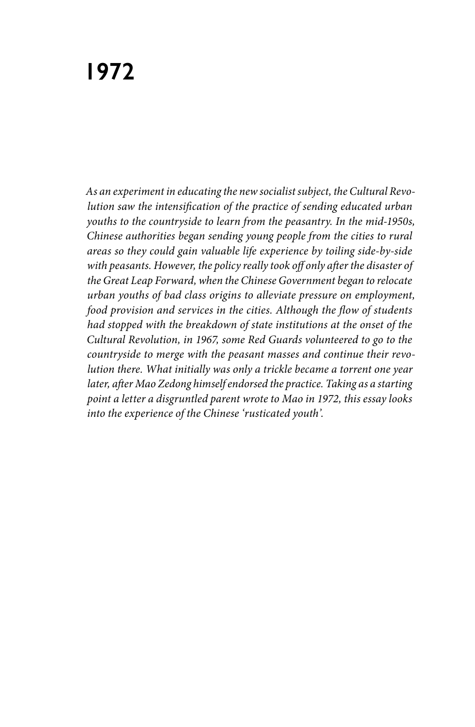*As an experiment in educating the new socialist subject, the Cultural Revolution saw the intensification of the practice of sending educated urban youths to the countryside to learn from the peasantry. In the mid-1950s, Chinese authorities began sending young people from the cities to rural areas so they could gain valuable life experience by toiling side-by-side with peasants. However, the policy really took off only after the disaster of the Great Leap Forward, when the Chinese Government began to relocate urban youths of bad class origins to alleviate pressure on employment, food provision and services in the cities. Although the flow of students had stopped with the breakdown of state institutions at the onset of the Cultural Revolution, in 1967, some Red Guards volunteered to go to the countryside to merge with the peasant masses and continue their revolution there. What initially was only a trickle became a torrent one year later, after Mao Zedong himself endorsed the practice. Taking as a starting point a letter a disgruntled parent wrote to Mao in 1972, this essay looks into the experience of the Chinese 'rusticated youth'.*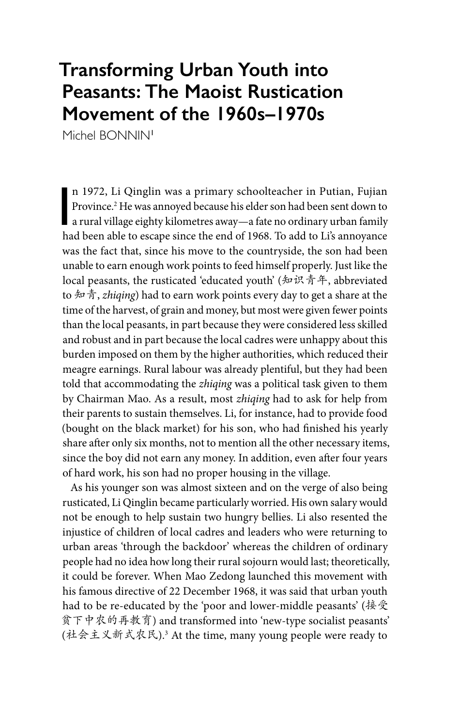## **Transforming Urban Youth into Peasants: The Maoist Rustication Movement of the 1960s–1970s**

Michel BONNIN<sup>1</sup>

n 1972, Li Qinglin was a primary schoolteacher in Putian, Fujian<br>Province.<sup>2</sup> He was annoyed because his elder son had been sent down to<br>a rural village eighty kilometres away—a fate no ordinary urban family<br>had been able n 1972, Li Qinglin was a primary schoolteacher in Putian, Fujian Province.2 He was annoyed because his elder son had been sent down to had been able to escape since the end of 1968. To add to Li's annoyance was the fact that, since his move to the countryside, the son had been unable to earn enough work points to feed himself properly. Just like the local peasants, the rusticated 'educated youth' (知识青年, abbreviated to 知青, *zhiqing*) had to earn work points every day to get a share at the time of the harvest, of grain and money, but most were given fewer points than the local peasants, in part because they were considered less skilled and robust and in part because the local cadres were unhappy about this burden imposed on them by the higher authorities, which reduced their meagre earnings. Rural labour was already plentiful, but they had been told that accommodating the *zhiqing* was a political task given to them by Chairman Mao. As a result, most *zhiqing* had to ask for help from their parents to sustain themselves. Li, for instance, had to provide food (bought on the black market) for his son, who had finished his yearly share after only six months, not to mention all the other necessary items, since the boy did not earn any money. In addition, even after four years of hard work, his son had no proper housing in the village.

As his younger son was almost sixteen and on the verge of also being rusticated, Li Qinglin became particularly worried. His own salary would not be enough to help sustain two hungry bellies. Li also resented the injustice of children of local cadres and leaders who were returning to urban areas 'through the backdoor' whereas the children of ordinary people had no idea how long their rural sojourn would last; theoretically, it could be forever. When Mao Zedong launched this movement with his famous directive of 22 December 1968, it was said that urban youth had to be re-educated by the 'poor and lower-middle peasants' (接受 贫下中农的再教育) and transformed into 'new-type socialist peasants' (社会主义新式农民).3 At the time, many young people were ready to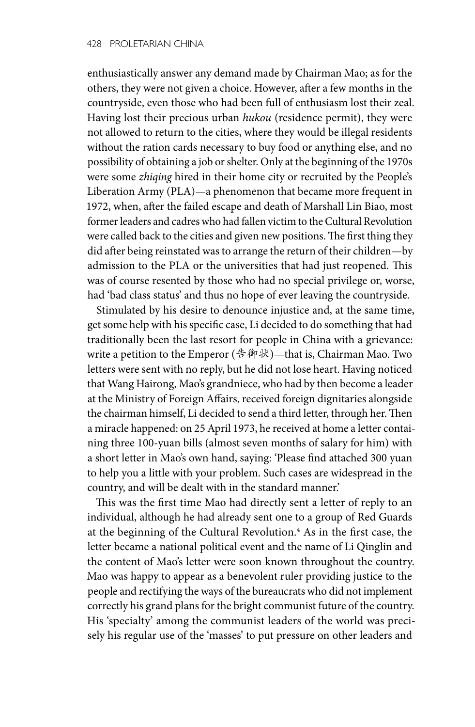enthusiastically answer any demand made by Chairman Mao; as for the others, they were not given a choice. However, after a few months in the countryside, even those who had been full of enthusiasm lost their zeal. Having lost their precious urban *hukou* (residence permit), they were not allowed to return to the cities, where they would be illegal residents without the ration cards necessary to buy food or anything else, and no possibility of obtaining a job or shelter. Only at the beginning of the 1970s were some *zhiqing* hired in their home city or recruited by the People's Liberation Army (PLA)—a phenomenon that became more frequent in 1972, when, after the failed escape and death of Marshall Lin Biao, most former leaders and cadres who had fallen victim to the Cultural Revolution were called back to the cities and given new positions. The first thing they did after being reinstated was to arrange the return of their children—by admission to the PLA or the universities that had just reopened. This was of course resented by those who had no special privilege or, worse, had 'bad class status' and thus no hope of ever leaving the countryside.

Stimulated by his desire to denounce injustice and, at the same time, get some help with his specific case, Li decided to do something that had traditionally been the last resort for people in China with a grievance: write a petition to the Emperor (告御状)—that is, Chairman Mao. Two letters were sent with no reply, but he did not lose heart. Having noticed that Wang Hairong, Mao's grandniece, who had by then become a leader at the Ministry of Foreign Affairs, received foreign dignitaries alongside the chairman himself, Li decided to send a third letter, through her. Then a miracle happened: on 25 April 1973, he received at home a letter containing three 100-yuan bills (almost seven months of salary for him) with a short letter in Mao's own hand, saying: 'Please find attached 300 yuan to help you a little with your problem. Such cases are widespread in the country, and will be dealt with in the standard manner.'

This was the first time Mao had directly sent a letter of reply to an individual, although he had already sent one to a group of Red Guards at the beginning of the Cultural Revolution.<sup>4</sup> As in the first case, the letter became a national political event and the name of Li Qinglin and the content of Mao's letter were soon known throughout the country. Mao was happy to appear as a benevolent ruler providing justice to the people and rectifying the ways of the bureaucrats who did not implement correctly his grand plans for the bright communist future of the country. His 'specialty' among the communist leaders of the world was precisely his regular use of the 'masses' to put pressure on other leaders and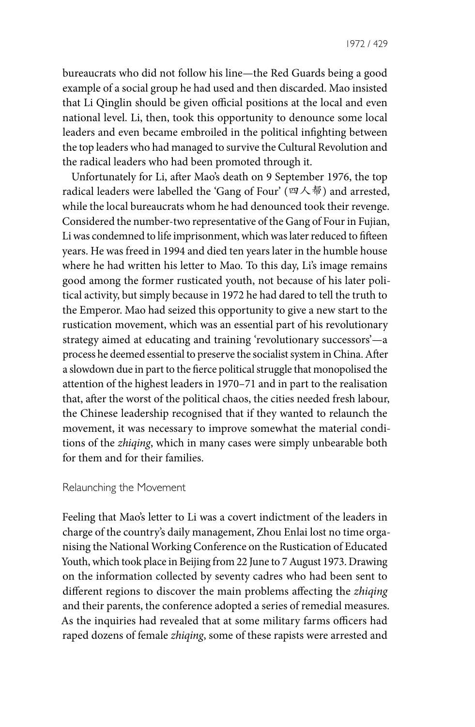1972 / 429

bureaucrats who did not follow his line—the Red Guards being a good example of a social group he had used and then discarded. Mao insisted that Li Qinglin should be given official positions at the local and even national level. Li, then, took this opportunity to denounce some local leaders and even became embroiled in the political infighting between the top leaders who had managed to survive the Cultural Revolution and the radical leaders who had been promoted through it.

Unfortunately for Li, after Mao's death on 9 September 1976, the top radical leaders were labelled the 'Gang of Four' (四人帮) and arrested, while the local bureaucrats whom he had denounced took their revenge. Considered the number-two representative of the Gang of Four in Fujian, Li was condemned to life imprisonment, which was later reduced to fifteen years. He was freed in 1994 and died ten years later in the humble house where he had written his letter to Mao. To this day, Li's image remains good among the former rusticated youth, not because of his later political activity, but simply because in 1972 he had dared to tell the truth to the Emperor. Mao had seized this opportunity to give a new start to the rustication movement, which was an essential part of his revolutionary strategy aimed at educating and training 'revolutionary successors'—a process he deemed essential to preserve the socialist system in China. After a slowdown due in part to the fierce political struggle that monopolised the attention of the highest leaders in 1970–71 and in part to the realisation that, after the worst of the political chaos, the cities needed fresh labour, the Chinese leadership recognised that if they wanted to relaunch the movement, it was necessary to improve somewhat the material conditions of the *zhiqing*, which in many cases were simply unbearable both for them and for their families.

## Relaunching the Movement

Feeling that Mao's letter to Li was a covert indictment of the leaders in charge of the country's daily management, Zhou Enlai lost no time organising the National Working Conference on the Rustication of Educated Youth, which took place in Beijing from 22 June to 7 August 1973. Drawing on the information collected by seventy cadres who had been sent to different regions to discover the main problems affecting the *zhiqing* and their parents, the conference adopted a series of remedial measures. As the inquiries had revealed that at some military farms officers had raped dozens of female *zhiqing*, some of these rapists were arrested and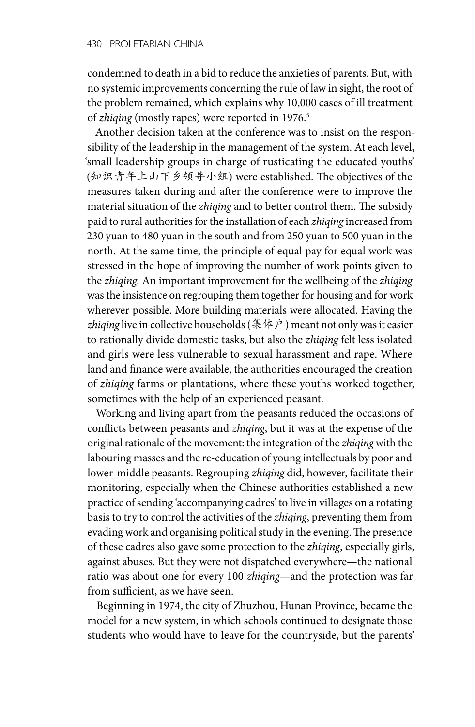condemned to death in a bid to reduce the anxieties of parents. But, with no systemic improvements concerning the rule of law in sight, the root of the problem remained, which explains why 10,000 cases of ill treatment of *zhiqing* (mostly rapes) were reported in 1976.<sup>5</sup>

Another decision taken at the conference was to insist on the responsibility of the leadership in the management of the system. At each level, 'small leadership groups in charge of rusticating the educated youths' (知识青年上山下乡领导小组) were established. The objectives of the measures taken during and after the conference were to improve the material situation of the *zhiqing* and to better control them. The subsidy paid to rural authorities for the installation of each *zhiqing* increased from 230 yuan to 480 yuan in the south and from 250 yuan to 500 yuan in the north. At the same time, the principle of equal pay for equal work was stressed in the hope of improving the number of work points given to the *zhiqing.* An important improvement for the wellbeing of the *zhiqing* was the insistence on regrouping them together for housing and for work wherever possible. More building materials were allocated. Having the *zhiqing* live in collective households (集体户) meant not only was it easier to rationally divide domestic tasks, but also the *zhiqing* felt less isolated and girls were less vulnerable to sexual harassment and rape. Where land and finance were available, the authorities encouraged the creation of *zhiqing* farms or plantations, where these youths worked together, sometimes with the help of an experienced peasant.

Working and living apart from the peasants reduced the occasions of conflicts between peasants and *zhiqing*, but it was at the expense of the original rationale of the movement: the integration of the *zhiqing* with the labouring masses and the re-education of young intellectuals by poor and lower-middle peasants. Regrouping *zhiqing* did, however, facilitate their monitoring, especially when the Chinese authorities established a new practice of sending 'accompanying cadres' to live in villages on a rotating basis to try to control the activities of the *zhiqing*, preventing them from evading work and organising political study in the evening. The presence of these cadres also gave some protection to the *zhiqing*, especially girls, against abuses. But they were not dispatched everywhere—the national ratio was about one for every 100 *zhiqing*—and the protection was far from sufficient, as we have seen.

Beginning in 1974, the city of Zhuzhou, Hunan Province, became the model for a new system, in which schools continued to designate those students who would have to leave for the countryside, but the parents'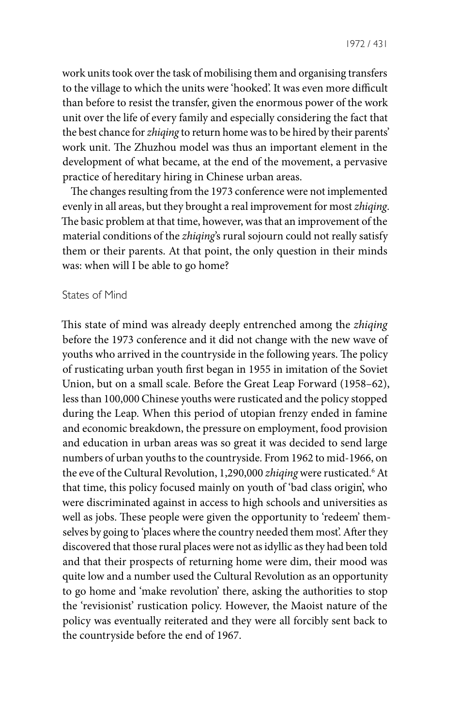work units took over the task of mobilising them and organising transfers to the village to which the units were 'hooked'. It was even more difficult than before to resist the transfer, given the enormous power of the work unit over the life of every family and especially considering the fact that the best chance for *zhiqing* to return home was to be hired by their parents' work unit. The Zhuzhou model was thus an important element in the development of what became, at the end of the movement, a pervasive practice of hereditary hiring in Chinese urban areas.

The changes resulting from the 1973 conference were not implemented evenly in all areas, but they brought a real improvement for most *zhiqing*. The basic problem at that time, however, was that an improvement of the material conditions of the *zhiqing*'s rural sojourn could not really satisfy them or their parents. At that point, the only question in their minds was: when will I be able to go home?

## States of Mind

This state of mind was already deeply entrenched among the *zhiqing* before the 1973 conference and it did not change with the new wave of youths who arrived in the countryside in the following years. The policy of rusticating urban youth first began in 1955 in imitation of the Soviet Union, but on a small scale. Before the Great Leap Forward (1958–62), less than 100,000 Chinese youths were rusticated and the policy stopped during the Leap. When this period of utopian frenzy ended in famine and economic breakdown, the pressure on employment, food provision and education in urban areas was so great it was decided to send large numbers of urban youths to the countryside. From 1962 to mid-1966, on the eve of the Cultural Revolution, 1,290,000 *zhiqing* were rusticated.<sup>6</sup> At that time, this policy focused mainly on youth of 'bad class origin', who were discriminated against in access to high schools and universities as well as jobs. These people were given the opportunity to 'redeem' themselves by going to 'places where the country needed them most'. After they discovered that those rural places were not as idyllic as they had been told and that their prospects of returning home were dim, their mood was quite low and a number used the Cultural Revolution as an opportunity to go home and 'make revolution' there, asking the authorities to stop the 'revisionist' rustication policy. However, the Maoist nature of the policy was eventually reiterated and they were all forcibly sent back to the countryside before the end of 1967.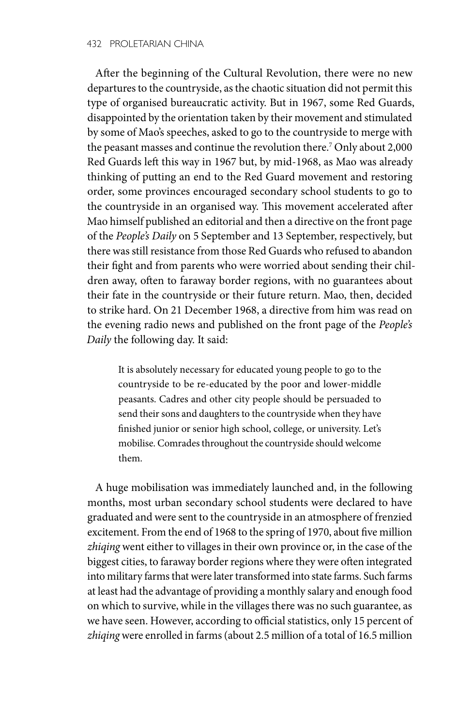After the beginning of the Cultural Revolution, there were no new departures to the countryside, as the chaotic situation did not permit this type of organised bureaucratic activity. But in 1967, some Red Guards, disappointed by the orientation taken by their movement and stimulated by some of Mao's speeches, asked to go to the countryside to merge with the peasant masses and continue the revolution there.7 Only about 2,000 Red Guards left this way in 1967 but, by mid-1968, as Mao was already thinking of putting an end to the Red Guard movement and restoring order, some provinces encouraged secondary school students to go to the countryside in an organised way. This movement accelerated after Mao himself published an editorial and then a directive on the front page of the *People's Daily* on 5 September and 13 September, respectively, but there was still resistance from those Red Guards who refused to abandon their fight and from parents who were worried about sending their children away, often to faraway border regions, with no guarantees about their fate in the countryside or their future return. Mao, then, decided to strike hard. On 21 December 1968, a directive from him was read on the evening radio news and published on the front page of the *People's Daily* the following day. It said:

It is absolutely necessary for educated young people to go to the countryside to be re-educated by the poor and lower-middle peasants. Cadres and other city people should be persuaded to send their sons and daughters to the countryside when they have finished junior or senior high school, college, or university. Let's mobilise. Comrades throughout the countryside should welcome them.

A huge mobilisation was immediately launched and, in the following months, most urban secondary school students were declared to have graduated and were sent to the countryside in an atmosphere of frenzied excitement. From the end of 1968 to the spring of 1970, about five million *zhiqing* went either to villages in their own province or, in the case of the biggest cities, to faraway border regions where they were often integrated into military farms that were later transformed into state farms. Such farms at least had the advantage of providing a monthly salary and enough food on which to survive, while in the villages there was no such guarantee, as we have seen. However, according to official statistics, only 15 percent of *zhiqing* were enrolled in farms (about 2.5 million of a total of 16.5 million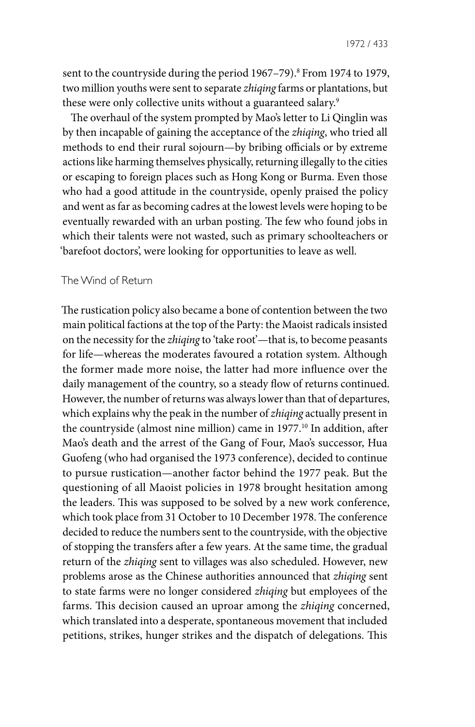sent to the countryside during the period 1967–79).<sup>8</sup> From 1974 to 1979, two million youths were sent to separate *zhiqing* farms or plantations, but these were only collective units without a guaranteed salary.<sup>9</sup>

The overhaul of the system prompted by Mao's letter to Li Qinglin was by then incapable of gaining the acceptance of the *zhiqing*, who tried all methods to end their rural sojourn—by bribing officials or by extreme actions like harming themselves physically, returning illegally to the cities or escaping to foreign places such as Hong Kong or Burma. Even those who had a good attitude in the countryside, openly praised the policy and went as far as becoming cadres at the lowest levels were hoping to be eventually rewarded with an urban posting. The few who found jobs in which their talents were not wasted, such as primary schoolteachers or 'barefoot doctors', were looking for opportunities to leave as well.

## The Wind of Return

The rustication policy also became a bone of contention between the two main political factions at the top of the Party: the Maoist radicals insisted on the necessity for the *zhiqing* to 'take root'—that is, to become peasants for life—whereas the moderates favoured a rotation system. Although the former made more noise, the latter had more influence over the daily management of the country, so a steady flow of returns continued. However, the number of returns was always lower than that of departures, which explains why the peak in the number of *zhiqing* actually present in the countryside (almost nine million) came in 1977.<sup>10</sup> In addition, after Mao's death and the arrest of the Gang of Four, Mao's successor, Hua Guofeng (who had organised the 1973 conference), decided to continue to pursue rustication—another factor behind the 1977 peak. But the questioning of all Maoist policies in 1978 brought hesitation among the leaders. This was supposed to be solved by a new work conference, which took place from 31 October to 10 December 1978. The conference decided to reduce the numbers sent to the countryside, with the objective of stopping the transfers after a few years. At the same time, the gradual return of the *zhiqing* sent to villages was also scheduled. However, new problems arose as the Chinese authorities announced that *zhiqing* sent to state farms were no longer considered *zhiqing* but employees of the farms. This decision caused an uproar among the *zhiqing* concerned, which translated into a desperate, spontaneous movement that included petitions, strikes, hunger strikes and the dispatch of delegations. This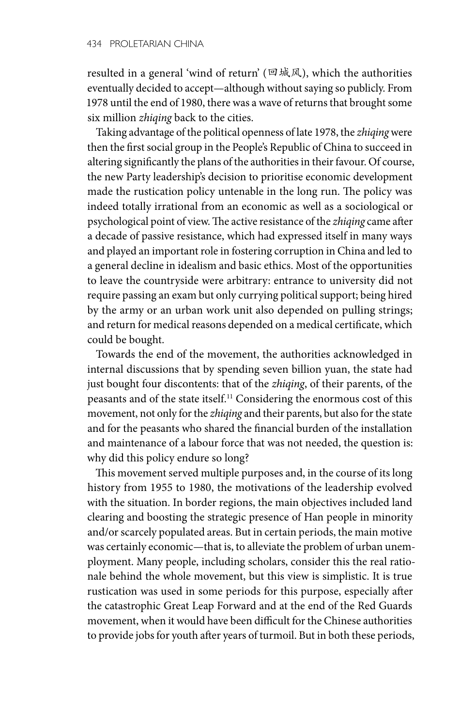resulted in a general 'wind of return' (回城风), which the authorities eventually decided to accept—although without saying so publicly. From 1978 until the end of 1980, there was a wave of returns that brought some six million *zhiqing* back to the cities.

Taking advantage of the political openness of late 1978, the *zhiqing* were then the first social group in the People's Republic of China to succeed in altering significantly the plans of the authorities in their favour. Of course, the new Party leadership's decision to prioritise economic development made the rustication policy untenable in the long run. The policy was indeed totally irrational from an economic as well as a sociological or psychological point of view. The active resistance of the *zhiqing* came after a decade of passive resistance, which had expressed itself in many ways and played an important role in fostering corruption in China and led to a general decline in idealism and basic ethics. Most of the opportunities to leave the countryside were arbitrary: entrance to university did not require passing an exam but only currying political support; being hired by the army or an urban work unit also depended on pulling strings; and return for medical reasons depended on a medical certificate, which could be bought.

Towards the end of the movement, the authorities acknowledged in internal discussions that by spending seven billion yuan, the state had just bought four discontents: that of the *zhiqing*, of their parents, of the peasants and of the state itself.11 Considering the enormous cost of this movement, not only for the *zhiqing* and their parents, but also for the state and for the peasants who shared the financial burden of the installation and maintenance of a labour force that was not needed, the question is: why did this policy endure so long?

This movement served multiple purposes and, in the course of its long history from 1955 to 1980, the motivations of the leadership evolved with the situation. In border regions, the main objectives included land clearing and boosting the strategic presence of Han people in minority and/or scarcely populated areas. But in certain periods, the main motive was certainly economic—that is, to alleviate the problem of urban unemployment. Many people, including scholars, consider this the real rationale behind the whole movement, but this view is simplistic. It is true rustication was used in some periods for this purpose, especially after the catastrophic Great Leap Forward and at the end of the Red Guards movement, when it would have been difficult for the Chinese authorities to provide jobs for youth after years of turmoil. But in both these periods,